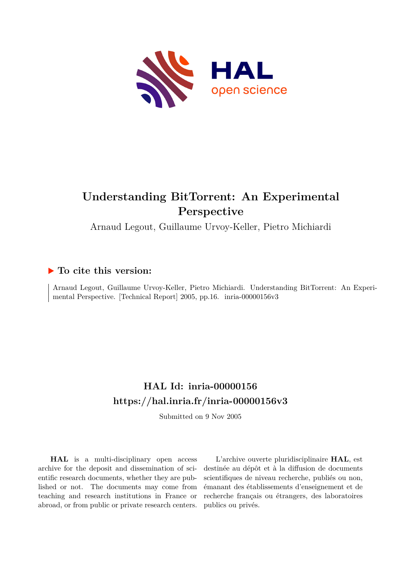

## **Understanding BitTorrent: An Experimental Perspective**

Arnaud Legout, Guillaume Urvoy-Keller, Pietro Michiardi

### **To cite this version:**

Arnaud Legout, Guillaume Urvoy-Keller, Pietro Michiardi. Understanding BitTorrent: An Experimental Perspective. [Technical Report] 2005, pp.16. inria-00000156v3

## **HAL Id: inria-00000156 <https://hal.inria.fr/inria-00000156v3>**

Submitted on 9 Nov 2005

**HAL** is a multi-disciplinary open access archive for the deposit and dissemination of scientific research documents, whether they are published or not. The documents may come from teaching and research institutions in France or abroad, or from public or private research centers.

L'archive ouverte pluridisciplinaire **HAL**, est destinée au dépôt et à la diffusion de documents scientifiques de niveau recherche, publiés ou non, émanant des établissements d'enseignement et de recherche français ou étrangers, des laboratoires publics ou privés.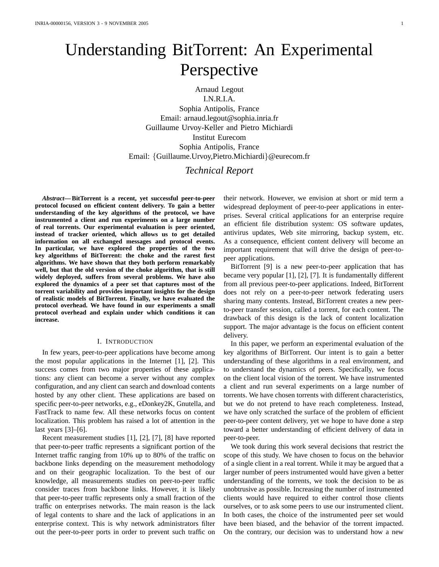# Understanding BitTorrent: An Experimental Perspective

Arnaud Legout

I.N.R.I.A. Sophia Antipolis, France Email: arnaud.legout@sophia.inria.fr Guillaume Urvoy-Keller and Pietro Michiardi Institut Eurecom Sophia Antipolis, France Email: {Guillaume.Urvoy,Pietro.Michiardi}@eurecom.fr

#### *Technical Report*

*Abstract***— BitTorrent is a recent, yet successful peer-to-peer protocol focused on efficient content delivery. To gain a better understanding of the key algorithms of the protocol, we have instrumented a client and run experiments on a large number of real torrents. Our experimental evaluation is peer oriented, instead of tracker oriented, which allows us to get detailed information on all exchanged messages and protocol events. In particular, we have explored the properties of the two key algorithms of BitTorrent: the choke and the rarest first algorithms. We have shown that they both perform remarkably well, but that the old version of the choke algorithm, that is still widely deployed, suffers from several problems. We have also explored the dynamics of a peer set that captures most of the torrent variability and provides important insights for the design of realistic models of BitTorrent. Finally, we have evaluated the protocol overhead. We have found in our experiments a small protocol overhead and explain under which conditions it can increase.**

#### I. INTRODUCTION

In few years, peer-to-peer applications have become among the most popular applications in the Internet [1], [2]. This success comes from two major properties of these applications: any client can become a server without any complex configuration, and any client can search and download contents hosted by any other client. These applications are based on specific peer-to-peer networks, e.g., eDonkey2K, Gnutella, and FastTrack to name few. All these networks focus on content localization. This problem has raised a lot of attention in the last years [3]–[6].

Recent measurement studies [1], [2], [7], [8] have reported that peer-to-peer traffic represents a significant portion of the Internet traffic ranging from 10% up to 80% of the traffic on backbone links depending on the measurement methodology and on their geographic localization. To the best of our knowledge, all measurements studies on peer-to-peer traffic consider traces from backbone links. However, it is likely that peer-to-peer traffic represents only a small fraction of the traffic on enterprises networks. The main reason is the lack of legal contents to share and the lack of applications in an enterprise context. This is why network administrators filter out the peer-to-peer ports in order to prevent such traffic on

their network. However, we envision at short or mid term a widespread deployment of peer-to-peer applications in enterprises. Several critical applications for an enterprise require an efficient file distribution system: OS software updates, antivirus updates, Web site mirroring, backup system, etc. As a consequence, efficient content delivery will become an important requirement that will drive the design of peer-topeer applications.

BitTorrent [9] is a new peer-to-peer application that has became very popular [1], [2], [7]. It is fundamentally different from all previous peer-to-peer applications. Indeed, BitTorrent does not rely on a peer-to-peer network federating users sharing many contents. Instead, BitTorrent creates a new peerto-peer transfer session, called a torrent, for each content. The drawback of this design is the lack of content localization support. The major advantage is the focus on efficient content delivery.

In this paper, we perform an experimental evaluation of the key algorithms of BitTorrent. Our intent is to gain a better understanding of these algorithms in a real environment, and to understand the dynamics of peers. Specifically, we focus on the client local vision of the torrent. We have instrumented a client and run several experiments on a large number of torrents. We have chosen torrents with different characteristics, but we do not pretend to have reach completeness. Instead, we have only scratched the surface of the problem of efficient peer-to-peer content delivery, yet we hope to have done a step toward a better understanding of efficient delivery of data in peer-to-peer.

We took during this work several decisions that restrict the scope of this study. We have chosen to focus on the behavior of a single client in a real torrent. While it may be argued that a larger number of peers instrumented would have given a better understanding of the torrents, we took the decision to be as unobtrusive as possible. Increasing the number of instrumented clients would have required to either control those clients ourselves, or to ask some peers to use our instrumented client. In both cases, the choice of the instrumented peer set would have been biased, and the behavior of the torrent impacted. On the contrary, our decision was to understand how a new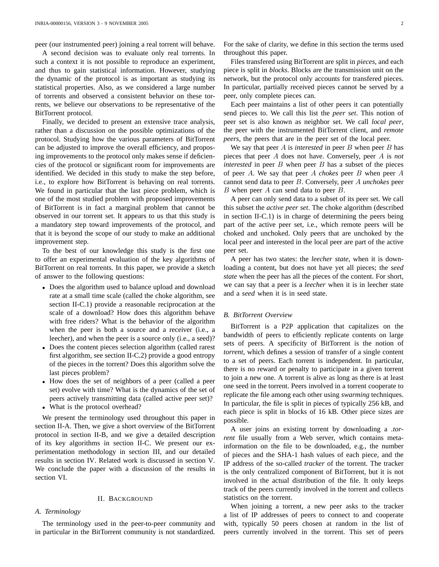peer (our instrumented peer) joining a real torrent will behave.

A second decision was to evaluate only real torrents. In such a context it is not possible to reproduce an experiment, and thus to gain statistical information. However, studying the dynamic of the protocol is as important as studying its statistical properties. Also, as we considered a large number of torrents and observed a consistent behavior on these torrents, we believe our observations to be representative of the BitTorrent protocol.

Finally, we decided to present an extensive trace analysis, rather than a discussion on the possible optimizations of the protocol. Studying how the various parameters of BitTorrent can be adjusted to improve the overall efficiency, and proposing improvements to the protocol only makes sense if deficiencies of the protocol or significant room for improvements are identified. We decided in this study to make the step before, i.e., to explore how BitTorrent is behaving on real torrents. We found in particular that the last piece problem, which is one of the most studied problem with proposed improvements of BitTorrent is in fact a marginal problem that cannot be observed in our torrent set. It appears to us that this study is a mandatory step toward improvements of the protocol, and that it is beyond the scope of our study to make an additional improvement step.

To the best of our knowledge this study is the first one to offer an experimental evaluation of the key algorithms of BitTorrent on real torrents. In this paper, we provide a sketch of answer to the following questions:

- Does the algorithm used to balance upload and download rate at a small time scale (called the choke algorithm, see section II-C.1) provide a reasonable reciprocation at the scale of a download? How does this algorithm behave with free riders? What is the behavior of the algorithm when the peer is both a source and a receiver (i.e., a leecher), and when the peer is a source only (i.e., a seed)?
- Does the content pieces selection algorithm (called rarest) first algorithm, see section II-C.2) provide a good entropy of the pieces in the torrent? Does this algorithm solve the last pieces problem?
- How does the set of neighbors of a peer (called a peer set) evolve with time? What is the dynamics of the set of peers actively transmitting data (called active peer set)?
- What is the protocol overhead?

We present the terminology used throughout this paper in section II-A. Then, we give a short overview of the BitTorrent protocol in section II-B, and we give a detailed description of its key algorithms in section II-C. We present our experimentation methodology in section III, and our detailed results in section IV. Related work is discussed in section V. We conclude the paper with a discussion of the results in section VI.

#### II. BACKGROUND

#### *A. Terminology*

The terminology used in the peer-to-peer community and in particular in the BitTorrent community is not standardized. For the sake of clarity, we define in this section the terms used throughout this paper.

Files transfered using BitTorrent are split in *pieces*, and each piece is split in *blocks*. Blocks are the transmission unit on the network, but the protocol only accounts for transfered pieces. In particular, partially received pieces cannot be served by a peer, only complete pieces can.

Each peer maintains a list of other peers it can potentially send pieces to. We call this list the *peer set*. This notion of peer set is also known as neighbor set. We call *local peer*, the peer with the instrumented BitTorrent client, and *remote peers*, the peers that are in the peer set of the local peer.

We say that peer A is *interested* in peer B when peer B has pieces that peer A does not have. Conversely, peer A is *not interested* in peer  $B$  when peer  $B$  has a subset of the pieces of peer A. We say that peer A *chokes* peer B when peer A cannot send data to peer B. Conversely, peer A *unchokes* peer B when peer A can send data to peer B.

A peer can only send data to a subset of its peer set. We call this subset the *active peer set*. The choke algorithm (described in section II-C.1) is in charge of determining the peers being part of the active peer set, i.e., which remote peers will be choked and unchoked. Only peers that are unchoked by the local peer and interested in the local peer are part of the active peer set.

A peer has two states: the *leecher state*, when it is downloading a content, but does not have yet all pieces; the *seed state* when the peer has all the pieces of the content. For short, we can say that a peer is a *leecher* when it is in leecher state and a *seed* when it is in seed state.

#### *B. BitTorrent Overview*

BitTorrent is a P2P application that capitalizes on the bandwidth of peers to efficiently replicate contents on large sets of peers. A specificity of BitTorrent is the notion of *torrent*, which defines a session of transfer of a single content to a set of peers. Each torrent is independent. In particular, there is no reward or penalty to participate in a given torrent to join a new one. A torrent is alive as long as there is at least one seed in the torrent. Peers involved in a torrent cooperate to replicate the file among each other using *swarming* techniques. In particular, the file is split in pieces of typically 256 kB, and each piece is split in blocks of 16 kB. Other piece sizes are possible.

A user joins an existing torrent by downloading a *.torrent* file usually from a Web server, which contains metainformation on the file to be downloaded, e.g., the number of pieces and the SHA-1 hash values of each piece, and the IP address of the so-called *tracker* of the torrent. The tracker is the only centralized component of BitTorrent, but it is not involved in the actual distribution of the file. It only keeps track of the peers currently involved in the torrent and collects statistics on the torrent.

When joining a torrent, a new peer asks to the tracker a list of IP addresses of peers to connect to and cooperate with, typically 50 peers chosen at random in the list of peers currently involved in the torrent. This set of peers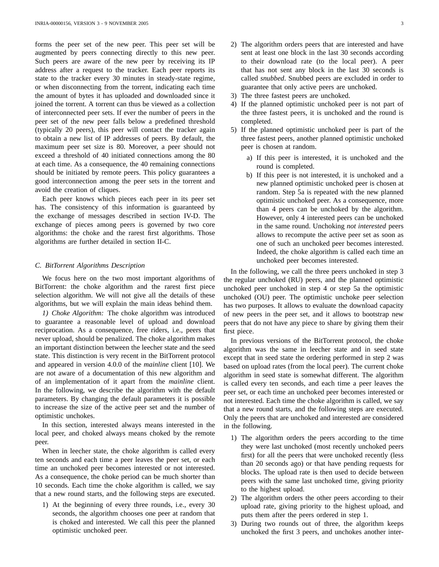forms the peer set of the new peer. This peer set will be augmented by peers connecting directly to this new peer. Such peers are aware of the new peer by receiving its IP address after a request to the tracker. Each peer reports its state to the tracker every 30 minutes in steady-state regime, or when disconnecting from the torrent, indicating each time the amount of bytes it has uploaded and downloaded since it joined the torrent. A torrent can thus be viewed as a collection of interconnected peer sets. If ever the number of peers in the peer set of the new peer falls below a predefined threshold (typically 20 peers), this peer will contact the tracker again to obtain a new list of IP addresses of peers. By default, the maximum peer set size is 80. Moreover, a peer should not exceed a threshold of 40 initiated connections among the 80 at each time. As a consequence, the 40 remaining connections should be initiated by remote peers. This policy guarantees a good interconnection among the peer sets in the torrent and avoid the creation of cliques.

Each peer knows which pieces each peer in its peer set has. The consistency of this information is guaranteed by the exchange of messages described in section IV-D. The exchange of pieces among peers is governed by two core algorithms: the choke and the rarest first algorithms. Those algorithms are further detailed in section II-C.

#### *C. BitTorrent Algorithms Description*

We focus here on the two most important algorithms of BitTorrent: the choke algorithm and the rarest first piece selection algorithm. We will not give all the details of these algorithms, but we will explain the main ideas behind them.

*1) Choke Algorithm:* The choke algorithm was introduced to guarantee a reasonable level of upload and download reciprocation. As a consequence, free riders, i.e., peers that never upload, should be penalized. The choke algorithm makes an important distinction between the leecher state and the seed state. This distinction is very recent in the BitTorrent protocol and appeared in version 4.0.0 of the *mainline* client [10]. We are not aware of a documentation of this new algorithm and of an implementation of it apart from the *mainline* client. In the following, we describe the algorithm with the default parameters. By changing the default parameters it is possible to increase the size of the active peer set and the number of optimistic unchokes.

In this section, interested always means interested in the local peer, and choked always means choked by the remote peer.

When in leecher state, the choke algorithm is called every ten seconds and each time a peer leaves the peer set, or each time an unchoked peer becomes interested or not interested. As a consequence, the choke period can be much shorter than 10 seconds. Each time the choke algorithm is called, we say that a new round starts, and the following steps are executed.

1) At the beginning of every three rounds, i.e., every 30 seconds, the algorithm chooses one peer at random that is choked and interested. We call this peer the planned optimistic unchoked peer.

- 2) The algorithm orders peers that are interested and have sent at least one block in the last 30 seconds according to their download rate (to the local peer). A peer that has not sent any block in the last 30 seconds is called *snubbed*. Snubbed peers are excluded in order to guarantee that only active peers are unchoked.
- 3) The three fastest peers are unchoked.
- 4) If the planned optimistic unchoked peer is not part of the three fastest peers, it is unchoked and the round is completed.
- 5) If the planned optimistic unchoked peer is part of the three fastest peers, another planned optimistic unchoked peer is chosen at random.
	- a) If this peer is interested, it is unchoked and the round is completed.
	- b) If this peer is not interested, it is unchoked and a new planned optimistic unchoked peer is chosen at random. Step 5a is repeated with the new planned optimistic unchoked peer. As a consequence, more than 4 peers can be unchoked by the algorithm. However, only 4 interested peers can be unchoked in the same round. Unchoking *not interested* peers allows to recompute the active peer set as soon as one of such an unchoked peer becomes interested. Indeed, the choke algorithm is called each time an unchoked peer becomes interested.

In the following, we call the three peers unchoked in step 3 the regular unchoked (RU) peers, and the planned optimistic unchoked peer unchoked in step 4 or step 5a the optimistic unchoked (OU) peer. The optimistic unchoke peer selection has two purposes. It allows to evaluate the download capacity of new peers in the peer set, and it allows to bootstrap new peers that do not have any piece to share by giving them their first piece.

In previous versions of the BitTorrent protocol, the choke algorithm was the same in leecher state and in seed state except that in seed state the ordering performed in step 2 was based on upload rates (from the local peer). The current choke algorithm in seed state is somewhat different. The algorithm is called every ten seconds, and each time a peer leaves the peer set, or each time an unchoked peer becomes interested or not interested. Each time the choke algorithm is called, we say that a new round starts, and the following steps are executed. Only the peers that are unchoked and interested are considered in the following.

- 1) The algorithm orders the peers according to the time they were last unchoked (most recently unchoked peers first) for all the peers that were unchoked recently (less than 20 seconds ago) or that have pending requests for blocks. The upload rate is then used to decide between peers with the same last unchoked time, giving priority to the highest upload.
- 2) The algorithm orders the other peers according to their upload rate, giving priority to the highest upload, and puts them after the peers ordered in step 1.
- 3) During two rounds out of three, the algorithm keeps unchoked the first 3 peers, and unchokes another inter-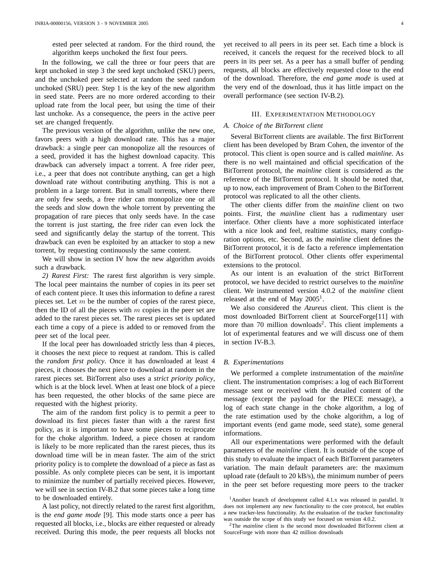ested peer selected at random. For the third round, the algorithm keeps unchoked the first four peers.

In the following, we call the three or four peers that are kept unchoked in step 3 the seed kept unchoked (SKU) peers, and the unchoked peer selected at random the seed random unchoked (SRU) peer. Step 1 is the key of the new algorithm in seed state. Peers are no more ordered according to their upload rate from the local peer, but using the time of their last unchoke. As a consequence, the peers in the active peer set are changed frequently.

The previous version of the algorithm, unlike the new one, favors peers with a high download rate. This has a major drawback: a single peer can monopolize all the resources of a seed, provided it has the highest download capacity. This drawback can adversely impact a torrent. A free rider peer, i.e., a peer that does not contribute anything, can get a high download rate without contributing anything. This is not a problem in a large torrent. But in small torrents, where there are only few seeds, a free rider can monopolize one or all the seeds and slow down the whole torrent by preventing the propagation of rare pieces that only seeds have. In the case the torrent is just starting, the free rider can even lock the seed and significantly delay the startup of the torrent. This drawback can even be exploited by an attacker to stop a new torrent, by requesting continuously the same content.

We will show in section IV how the new algorithm avoids such a drawback.

*2) Rarest First:* The rarest first algorithm is very simple. The local peer maintains the number of copies in its peer set of each content piece. It uses this information to define a rarest pieces set. Let  $m$  be the number of copies of the rarest piece, then the ID of all the pieces with  $m$  copies in the peer set are added to the rarest pieces set. The rarest pieces set is updated each time a copy of a piece is added to or removed from the peer set of the local peer.

If the local peer has downloaded strictly less than 4 pieces, it chooses the next piece to request at random. This is called the *random first policy*. Once it has downloaded at least 4 pieces, it chooses the next piece to download at random in the rarest pieces set. BitTorrent also uses a *strict priority policy*, which is at the block level. When at least one block of a piece has been requested, the other blocks of the same piece are requested with the highest priority.

The aim of the random first policy is to permit a peer to download its first pieces faster than with a the rarest first policy, as it is important to have some pieces to reciprocate for the choke algorithm. Indeed, a piece chosen at random is likely to be more replicated than the rarest pieces, thus its download time will be in mean faster. The aim of the strict priority policy is to complete the download of a piece as fast as possible. As only complete pieces can be sent, it is important to minimize the number of partially received pieces. However, we will see in section IV-B.2 that some pieces take a long time to be downloaded entirely.

A last policy, not directly related to the rarest first algorithm, is the *end game mode* [9]. This mode starts once a peer has requested all blocks, i.e., blocks are either requested or already received. During this mode, the peer requests all blocks not yet received to all peers in its peer set. Each time a block is received, it cancels the request for the received block to all peers in its peer set. As a peer has a small buffer of pending requests, all blocks are effectively requested close to the end of the download. Therefore, the *end game mode* is used at the very end of the download, thus it has little impact on the overall performance (see section IV-B.2).

#### III. EXPERIMENTATION METHODOLOGY

#### *A. Choice of the BitTorrent client*

Several BitTorrent clients are available. The first BitTorrent client has been developed by Bram Cohen, the inventor of the protocol. This client is open source and is called *mainline*. As there is no well maintained and official specification of the BitTorrent protocol, the *mainline* client is considered as the reference of the BitTorrent protocol. It should be noted that, up to now, each improvement of Bram Cohen to the BitTorrent protocol was replicated to all the other clients.

The other clients differ from the *mainline* client on two points. First, the *mainline* client has a rudimentary user interface. Other clients have a more sophisticated interface with a nice look and feel, realtime statistics, many configuration options, etc. Second, as the *mainline* client defines the BitTorrent protocol, it is de facto a reference implementation of the BitTorrent protocol. Other clients offer experimental extensions to the protocol.

As our intent is an evaluation of the strict BitTorrent protocol, we have decided to restrict ourselves to the *mainline* client. We instrumented version 4.0.2 of the *mainline* client released at the end of May 2005<sup>1</sup>.

We also considered the *Azureus* client. This client is the most downloaded BitTorrent client at SourceForge[11] with more than 70 million downloads<sup>2</sup>. This client implements a lot of experimental features and we will discuss one of them in section IV-B.3.

#### *B. Experimentations*

We performed a complete instrumentation of the *mainline* client. The instrumentation comprises: a log of each BitTorrent message sent or received with the detailed content of the message (except the payload for the PIECE message), a log of each state change in the choke algorithm, a log of the rate estimation used by the choke algorithm, a log of important events (end game mode, seed state), some general informations.

All our experimentations were performed with the default parameters of the *mainline* client. It is outside of the scope of this study to evaluate the impact of each BitTorrent parameters variation. The main default parameters are: the maximum upload rate (default to 20 kB/s), the minimum number of peers in the peer set before requesting more peers to the tracker

<sup>1</sup>Another branch of development called 4.1.x was released in parallel. It does not implement any new functionality to the core protocol, but enables a new tracker-less functionality. As the evaluation of the tracker functionality was outside the scope of this study we focused on version 4.0.2.

<sup>2</sup>The *mainline* client is the second most downloaded BitTorrent client at SourceForge with more than 42 million downloads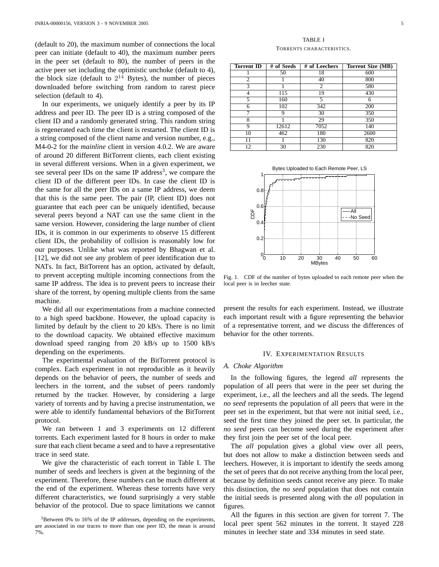(default to 20), the maximum number of connections the local peer can initiate (default to 40), the maximum number peers in the peer set (default to 80), the number of peers in the active peer set including the optimistic unchoke (default to 4), the block size (default to  $2^{14}$  Bytes), the number of pieces downloaded before switching from random to rarest piece selection (default to 4).

In our experiments, we uniquely identify a peer by its IP address and peer ID. The peer ID is a string composed of the client ID and a randomly generated string. This random string is regenerated each time the client is restarted. The client ID is a string composed of the client name and version number, e.g., M4-0-2 for the *mainline* client in version 4.0.2. We are aware of around 20 different BitTorrent clients, each client existing in several different versions. When in a given experiment, we see several peer IDs on the same IP address<sup>3</sup>, we compare the client ID of the different peer IDs. In case the client ID is the same for all the peer IDs on a same IP address, we deem that this is the same peer. The pair (IP, client ID) does not guarantee that each peer can be uniquely identified, because several peers beyond a NAT can use the same client in the same version. However, considering the large number of client IDs, it is common in our experiments to observe 15 different client IDs, the probability of collision is reasonably low for our purposes. Unlike what was reported by Bhagwan et al. [12], we did not see any problem of peer identification due to NATs. In fact, BitTorrent has an option, activated by default, to prevent accepting multiple incoming connections from the same IP address. The idea is to prevent peers to increase their share of the torrent, by opening multiple clients from the same machine.

We did all our experimentations from a machine connected to a high speed backbone. However, the upload capacity is limited by default by the client to 20 kB/s. There is no limit to the download capacity. We obtained effective maximum download speed ranging from 20 kB/s up to 1500 kB/s depending on the experiments.

The experimental evaluation of the BitTorrent protocol is complex. Each experiment in not reproducible as it heavily depends on the behavior of peers, the number of seeds and leechers in the torrent, and the subset of peers randomly returned by the tracker. However, by considering a large variety of torrents and by having a precise instrumentation, we were able to identify fundamental behaviors of the BitTorrent protocol.

We ran between 1 and 3 experiments on 12 different torrents. Each experiment lasted for 8 hours in order to make sure that each client became a seed and to have a representative trace in seed state.

We give the characteristic of each torrent in Table I. The number of seeds and leechers is given at the beginning of the experiment. Therefore, these numbers can be much different at the end of the experiment. Whereas these torrents have very different characteristics, we found surprisingly a very stable behavior of the protocol. Due to space limitations we cannot

| <b>Torrent ID</b> | # of Seeds | # of Leechers  | Torrent Size (MB) |
|-------------------|------------|----------------|-------------------|
|                   | 50         | 18             | 600               |
| 2                 |            | 40             | 800               |
| 3                 |            | $\overline{c}$ | 580               |
| 4                 | 115        | 19             | 430               |
| 5                 | 160        | 5              | 6                 |
| 6                 | 102        | 342            | 200               |
|                   | 9          | 30             | 350               |
| 8                 |            | 29             | 350               |
| 9                 | 12612      | 7052           | 140               |
| 10                | 462        | 180            | 2600              |
| 11                |            | 130            | 820               |
| 12                | 30         | 230            | 820               |



Fig. 1. CDF of the number of bytes uploaded to each remote peer when the local peer is in leecher state.

present the results for each experiment. Instead, we illustrate each important result with a figure representing the behavior of a representative torrent, and we discuss the differences of behavior for the other torrents.

#### IV. EXPERIMENTATION RESULTS

#### *A. Choke Algorithm*

In the following figures, the legend *all* represents the population of all peers that were in the peer set during the experiment, i.e., all the leechers and all the seeds. The legend *no seed* represents the population of all peers that were in the peer set in the experiment, but that were not initial seed, i.e., seed the first time they joined the peer set. In particular, the *no seed* peers can become seed during the experiment after they first join the peer set of the local peer.

The *all* population gives a global view over all peers, but does not allow to make a distinction between seeds and leechers. However, it is important to identify the seeds among the set of peers that do not receive anything from the local peer, because by definition seeds cannot receive any piece. To make this distinction, the *no seed* population that does not contain the initial seeds is presented along with the *all* population in figures.

All the figures in this section are given for torrent 7. The local peer spent 562 minutes in the torrent. It stayed 228 minutes in leecher state and 334 minutes in seed state.

<sup>3</sup>Between 0% to 16% of the IP addresses, depending on the experiments, are associated in our traces to more than one peer ID, the mean is around 7%.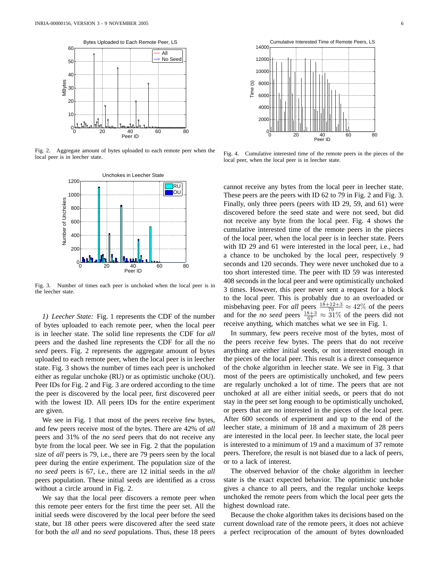

Fig. 2. Aggregate amount of bytes uploaded to each remote peer when the local peer is in leecher state.



Fig. 3. Number of times each peer is unchoked when the local peer is in the leecher state.

*1) Leecher State:* Fig. 1 represents the CDF of the number of bytes uploaded to each remote peer, when the local peer is in leecher state. The solid line represents the CDF for *all* peers and the dashed line represents the CDF for all the *no seed* peers. Fig. 2 represents the aggregate amount of bytes uploaded to each remote peer, when the local peer is in leecher state. Fig. 3 shows the number of times each peer is unchoked either as regular unchoke (RU) or as optimistic unchoke (OU). Peer IDs for Fig. 2 and Fig. 3 are ordered according to the time the peer is discovered by the local peer, first discovered peer with the lowest ID. All peers IDs for the entire experiment are given.

We see in Fig. 1 that most of the peers receive few bytes, and few peers receive most of the bytes. There are 42% of *all* peers and 31% of the *no seed* peers that do not receive any byte from the local peer. We see in Fig. 2 that the population size of *all* peers is 79, i.e., there are 79 peers seen by the local peer during the entire experiment. The population size of the *no seed* peers is 67, i.e., there are 12 initial seeds in the *all* peers population. These initial seeds are identified as a cross without a circle around in Fig. 2.

We say that the local peer discovers a remote peer when this remote peer enters for the first time the peer set. All the initial seeds were discovered by the local peer before the seed state, but 18 other peers were discovered after the seed state for both the *all* and *no seed* populations. Thus, these 18 peers



Fig. 4. Cumulative interested time of the remote peers in the pieces of the local peer, when the local peer is in leecher state.

cannot receive any bytes from the local peer in leecher state. These peers are the peers with ID 62 to 79 in Fig. 2 and Fig. 3. Finally, only three peers (peers with ID 29, 59, and 61) were discovered before the seed state and were not seed, but did not receive any byte from the local peer. Fig. 4 shows the cumulative interested time of the remote peers in the pieces of the local peer, when the local peer is in leecher state. Peers with ID 29 and 61 were interested in the local peer, i.e., had a chance to be unchoked by the local peer, respectively 9 seconds and 120 seconds. They were never unchoked due to a too short interested time. The peer with ID 59 was interested 408 seconds in the local peer and were optimistically unchoked 3 times. However, this peer never sent a request for a block to the local peer. This is probably due to an overloaded or misbehaving peer. For *all* peers  $\frac{18+12+3}{79} \approx 42\%$  of the peers and for the *no seed* peers  $\frac{18+3}{67} \approx 31\%$  of the peers did not receive anything, which matches what we see in Fig. 1.

In summary, few peers receive most of the bytes, most of the peers receive few bytes. The peers that do not receive anything are either initial seeds, or not interested enough in the pieces of the local peer. This result is a direct consequence of the choke algorithm in leecher state. We see in Fig. 3 that most of the peers are optimistically unchoked, and few peers are regularly unchoked a lot of time. The peers that are not unchoked at all are either initial seeds, or peers that do not stay in the peer set long enough to be optimistically unchoked, or peers that are no interested in the pieces of the local peer. After 600 seconds of experiment and up to the end of the leecher state, a minimum of 18 and a maximum of 28 peers are interested in the local peer. In leecher state, the local peer is interested to a minimum of 19 and a maximum of 37 remote peers. Therefore, the result is not biased due to a lack of peers, or to a lack of interest.

The observed behavior of the choke algorithm in leecher state is the exact expected behavior. The optimistic unchoke gives a chance to all peers, and the regular unchoke keeps unchoked the remote peers from which the local peer gets the highest download rate.

Because the choke algorithm takes its decisions based on the current download rate of the remote peers, it does not achieve a perfect reciprocation of the amount of bytes downloaded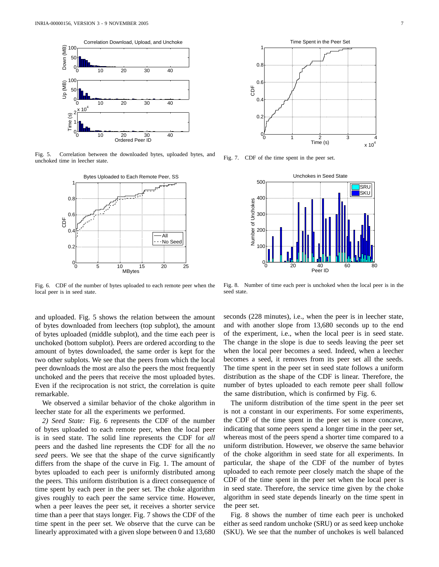

Fig. 5. Correlation between the downloaded bytes, uploaded bytes, and unchoked time in leecher state.



Fig. 6. CDF of the number of bytes uploaded to each remote peer when the local peer is in seed state.

and uploaded. Fig. 5 shows the relation between the amount of bytes downloaded from leechers (top subplot), the amount of bytes uploaded (middle subplot), and the time each peer is unchoked (bottom subplot). Peers are ordered according to the amount of bytes downloaded, the same order is kept for the two other subplots. We see that the peers from which the local peer downloads the most are also the peers the most frequently unchoked and the peers that receive the most uploaded bytes. Even if the reciprocation is not strict, the correlation is quite remarkable.

We observed a similar behavior of the choke algorithm in leecher state for all the experiments we performed.

*2) Seed State:* Fig. 6 represents the CDF of the number of bytes uploaded to each remote peer, when the local peer is in seed state. The solid line represents the CDF for *all* peers and the dashed line represents the CDF for all the *no seed* peers. We see that the shape of the curve significantly differs from the shape of the curve in Fig. 1. The amount of bytes uploaded to each peer is uniformly distributed among the peers. This uniform distribution is a direct consequence of time spent by each peer in the peer set. The choke algorithm gives roughly to each peer the same service time. However, when a peer leaves the peer set, it receives a shorter service time than a peer that stays longer. Fig. 7 shows the CDF of the time spent in the peer set. We observe that the curve can be linearly approximated with a given slope between 0 and 13,680



Fig. 7. CDF of the time spent in the peer set.



Fig. 8. Number of time each peer is unchoked when the local peer is in the seed state.

seconds (228 minutes), i.e., when the peer is in leecher state, and with another slope from 13,680 seconds up to the end of the experiment, i.e., when the local peer is in seed state. The change in the slope is due to seeds leaving the peer set when the local peer becomes a seed. Indeed, when a leecher becomes a seed, it removes from its peer set all the seeds. The time spent in the peer set in seed state follows a uniform distribution as the shape of the CDF is linear. Therefore, the number of bytes uploaded to each remote peer shall follow the same distribution, which is confirmed by Fig. 6.

The uniform distribution of the time spent in the peer set is not a constant in our experiments. For some experiments, the CDF of the time spent in the peer set is more concave, indicating that some peers spend a longer time in the peer set, whereas most of the peers spend a shorter time compared to a uniform distribution. However, we observe the same behavior of the choke algorithm in seed state for all experiments. In particular, the shape of the CDF of the number of bytes uploaded to each remote peer closely match the shape of the CDF of the time spent in the peer set when the local peer is in seed state. Therefore, the service time given by the choke algorithm in seed state depends linearly on the time spent in the peer set.

Fig. 8 shows the number of time each peer is unchoked either as seed random unchoke (SRU) or as seed keep unchoke (SKU). We see that the number of unchokes is well balanced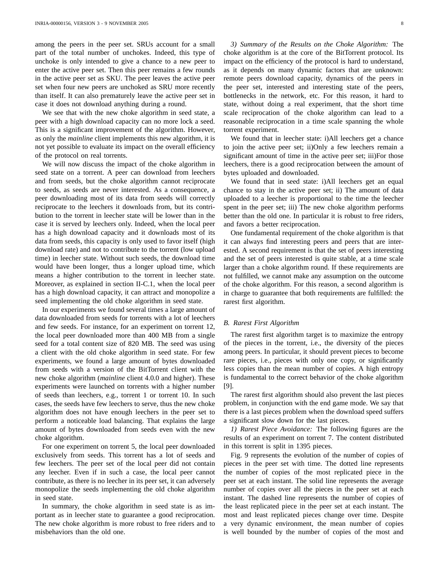among the peers in the peer set. SRUs account for a small part of the total number of unchokes. Indeed, this type of unchoke is only intended to give a chance to a new peer to enter the active peer set. Then this peer remains a few rounds in the active peer set as SKU. The peer leaves the active peer set when four new peers are unchoked as SRU more recently than itself. It can also prematurely leave the active peer set in case it does not download anything during a round.

We see that with the new choke algorithm in seed state, a peer with a high download capacity can no more lock a seed. This is a significant improvement of the algorithm. However, as only the *mainline* client implements this new algorithm, it is not yet possible to evaluate its impact on the overall efficiency of the protocol on real torrents.

We will now discuss the impact of the choke algorithm in seed state on a torrent. A peer can download from leechers and from seeds, but the choke algorithm cannot reciprocate to seeds, as seeds are never interested. As a consequence, a peer downloading most of its data from seeds will correctly reciprocate to the leechers it downloads from, but its contribution to the torrent in leecher state will be lower than in the case it is served by leechers only. Indeed, when the local peer has a high download capacity and it downloads most of its data from seeds, this capacity is only used to favor itself (high download rate) and not to contribute to the torrent (low upload time) in leecher state. Without such seeds, the download time would have been longer, thus a longer upload time, which means a higher contribution to the torrent in leecher state. Moreover, as explained in section II-C.1, when the local peer has a high download capacity, it can attract and monopolize a seed implementing the old choke algorithm in seed state.

In our experiments we found several times a large amount of data downloaded from seeds for torrents with a lot of leechers and few seeds. For instance, for an experiment on torrent 12, the local peer downloaded more than 400 MB from a single seed for a total content size of 820 MB. The seed was using a client with the old choke algorithm in seed state. For few experiments, we found a large amount of bytes downloaded from seeds with a version of the BitTorrent client with the new choke algorithm (*mainline* client 4.0.0 and higher). These experiments were launched on torrents with a higher number of seeds than leechers, e.g., torrent 1 or torrent 10. In such cases, the seeds have few leechers to serve, thus the new choke algorithm does not have enough leechers in the peer set to perform a noticeable load balancing. That explains the large amount of bytes downloaded from seeds even with the new choke algorithm.

For one experiment on torrent 5, the local peer downloaded exclusively from seeds. This torrent has a lot of seeds and few leechers. The peer set of the local peer did not contain any leecher. Even if in such a case, the local peer cannot contribute, as there is no leecher in its peer set, it can adversely monopolize the seeds implementing the old choke algorithm in seed state.

In summary, the choke algorithm in seed state is as important as in leecher state to guarantee a good reciprocation. The new choke algorithm is more robust to free riders and to misbehaviors than the old one.

*3) Summary of the Results on the Choke Algorithm:* The choke algorithm is at the core of the BitTorrent protocol. Its impact on the efficiency of the protocol is hard to understand, as it depends on many dynamic factors that are unknown: remote peers download capacity, dynamics of the peers in the peer set, interested and interesting state of the peers, bottlenecks in the network, etc. For this reason, it hard to state, without doing a real experiment, that the short time scale reciprocation of the choke algorithm can lead to a reasonable reciprocation in a time scale spanning the whole torrent experiment.

We found that in leecher state: i)All leechers get a chance to join the active peer set; ii)Only a few leechers remain a significant amount of time in the active peer set; iii)For those leechers, there is a good reciprocation between the amount of bytes uploaded and downloaded.

We found that in seed state: i)All leechers get an equal chance to stay in the active peer set; ii) The amount of data uploaded to a leecher is proportional to the time the leecher spent in the peer set; iii) The new choke algorithm performs better than the old one. In particular it is robust to free riders, and favors a better reciprocation.

One fundamental requirement of the choke algorithm is that it can always find interesting peers and peers that are interested. A second requirement is that the set of peers interesting and the set of peers interested is quite stable, at a time scale larger than a choke algorithm round. If these requirements are not fulfilled, we cannot make any assumption on the outcome of the choke algorithm. For this reason, a second algorithm is in charge to guarantee that both requirements are fulfilled: the rarest first algorithm.

#### *B. Rarest First Algorithm*

The rarest first algorithm target is to maximize the entropy of the pieces in the torrent, i.e., the diversity of the pieces among peers. In particular, it should prevent pieces to become rare pieces, i.e., pieces with only one copy, or significantly less copies than the mean number of copies. A high entropy is fundamental to the correct behavior of the choke algorithm [9].

The rarest first algorithm should also prevent the last pieces problem, in conjunction with the end game mode. We say that there is a last pieces problem when the download speed suffers a significant slow down for the last pieces.

*1) Rarest Piece Avoidance:* The following figures are the results of an experiment on torrent 7. The content distributed in this torrent is split in 1395 pieces.

Fig. 9 represents the evolution of the number of copies of pieces in the peer set with time. The dotted line represents the number of copies of the most replicated piece in the peer set at each instant. The solid line represents the average number of copies over all the pieces in the peer set at each instant. The dashed line represents the number of copies of the least replicated piece in the peer set at each instant. The most and least replicated pieces change over time. Despite a very dynamic environment, the mean number of copies is well bounded by the number of copies of the most and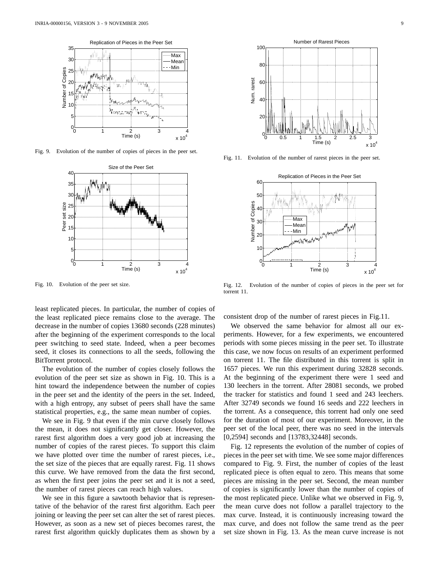

Fig. 9. Evolution of the number of copies of pieces in the peer set.



Fig. 10. Evolution of the peer set size.

least replicated pieces. In particular, the number of copies of the least replicated piece remains close to the average. The decrease in the number of copies 13680 seconds (228 minutes) after the beginning of the experiment corresponds to the local peer switching to seed state. Indeed, when a peer becomes seed, it closes its connections to all the seeds, following the BitTorrent protocol.

The evolution of the number of copies closely follows the evolution of the peer set size as shown in Fig. 10. This is a hint toward the independence between the number of copies in the peer set and the identity of the peers in the set. Indeed, with a high entropy, any subset of peers shall have the same statistical properties, e.g., the same mean number of copies.

We see in Fig. 9 that even if the min curve closely follows the mean, it does not significantly get closer. However, the rarest first algorithm does a very good job at increasing the number of copies of the rarest pieces. To support this claim we have plotted over time the number of rarest pieces, i.e., the set size of the pieces that are equally rarest. Fig. 11 shows this curve. We have removed from the data the first second, as when the first peer joins the peer set and it is not a seed, the number of rarest pieces can reach high values.

We see in this figure a sawtooth behavior that is representative of the behavior of the rarest first algorithm. Each peer joining or leaving the peer set can alter the set of rarest pieces. However, as soon as a new set of pieces becomes rarest, the rarest first algorithm quickly duplicates them as shown by a



Fig. 11. Evolution of the number of rarest pieces in the peer set.



Fig. 12. Evolution of the number of copies of pieces in the peer set for torrent 11.

consistent drop of the number of rarest pieces in Fig.11.

We observed the same behavior for almost all our experiments. However, for a few experiments, we encountered periods with some pieces missing in the peer set. To illustrate this case, we now focus on results of an experiment performed on torrent 11. The file distributed in this torrent is split in 1657 pieces. We run this experiment during 32828 seconds. At the beginning of the experiment there were 1 seed and 130 leechers in the torrent. After 28081 seconds, we probed the tracker for statistics and found 1 seed and 243 leechers. After 32749 seconds we found 16 seeds and 222 leechers in the torrent. As a consequence, this torrent had only one seed for the duration of most of our experiment. Moreover, in the peer set of the local peer, there was no seed in the intervals [0,2594] seconds and [13783,32448] seconds.

Fig. 12 represents the evolution of the number of copies of pieces in the peer set with time. We see some major differences compared to Fig. 9. First, the number of copies of the least replicated piece is often equal to zero. This means that some pieces are missing in the peer set. Second, the mean number of copies is significantly lower than the number of copies of the most replicated piece. Unlike what we observed in Fig. 9, the mean curve does not follow a parallel trajectory to the max curve. Instead, it is continuously increasing toward the max curve, and does not follow the same trend as the peer set size shown in Fig. 13. As the mean curve increase is not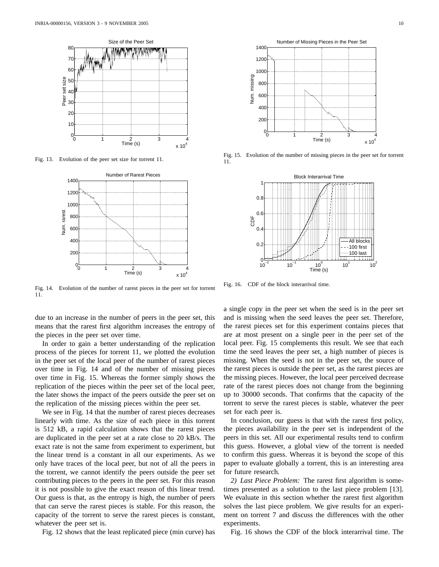

Fig. 13. Evolution of the peer set size for torrent 11.

![](_page_10_Figure_3.jpeg)

Fig. 14. Evolution of the number of rarest pieces in the peer set for torrent 11.

due to an increase in the number of peers in the peer set, this means that the rarest first algorithm increases the entropy of the pieces in the peer set over time.

In order to gain a better understanding of the replication process of the pieces for torrent 11, we plotted the evolution in the peer set of the local peer of the number of rarest pieces over time in Fig. 14 and of the number of missing pieces over time in Fig. 15. Whereas the former simply shows the replication of the pieces within the peer set of the local peer, the later shows the impact of the peers outside the peer set on the replication of the missing pieces within the peer set.

We see in Fig. 14 that the number of rarest pieces decreases linearly with time. As the size of each piece in this torrent is 512 kB, a rapid calculation shows that the rarest pieces are duplicated in the peer set at a rate close to 20 kB/s. The exact rate is not the same from experiment to experiment, but the linear trend is a constant in all our experiments. As we only have traces of the local peer, but not of all the peers in the torrent, we cannot identify the peers outside the peer set contributing pieces to the peers in the peer set. For this reason it is not possible to give the exact reason of this linear trend. Our guess is that, as the entropy is high, the number of peers that can serve the rarest pieces is stable. For this reason, the capacity of the torrent to serve the rarest pieces is constant, whatever the peer set is.

Fig. 12 shows that the least replicated piece (min curve) has

![](_page_10_Figure_9.jpeg)

Fig. 15. Evolution of the number of missing pieces in the peer set for torrent 11.

![](_page_10_Figure_11.jpeg)

Fig. 16. CDF of the block interarrival time.

a single copy in the peer set when the seed is in the peer set and is missing when the seed leaves the peer set. Therefore, the rarest pieces set for this experiment contains pieces that are at most present on a single peer in the peer set of the local peer. Fig. 15 complements this result. We see that each time the seed leaves the peer set, a high number of pieces is missing. When the seed is not in the peer set, the source of the rarest pieces is outside the peer set, as the rarest pieces are the missing pieces. However, the local peer perceived decrease rate of the rarest pieces does not change from the beginning up to 30000 seconds. That confirms that the capacity of the torrent to serve the rarest pieces is stable, whatever the peer set for each peer is.

In conclusion, our guess is that with the rarest first policy, the pieces availability in the peer set is independent of the peers in this set. All our experimental results tend to confirm this guess. However, a global view of the torrent is needed to confirm this guess. Whereas it is beyond the scope of this paper to evaluate globally a torrent, this is an interesting area for future research.

*2) Last Piece Problem:* The rarest first algorithm is sometimes presented as a solution to the last piece problem [13]. We evaluate in this section whether the rarest first algorithm solves the last piece problem. We give results for an experiment on torrent 7 and discuss the differences with the other experiments.

Fig. 16 shows the CDF of the block interarrival time. The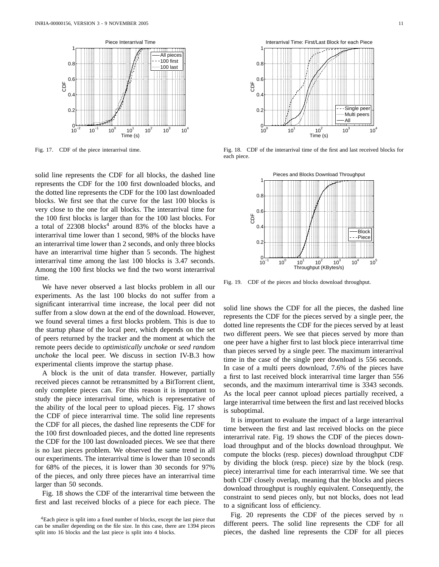![](_page_11_Figure_1.jpeg)

Fig. 17. CDF of the piece interarrival time.

solid line represents the CDF for all blocks, the dashed line represents the CDF for the 100 first downloaded blocks, and the dotted line represents the CDF for the 100 last downloaded blocks. We first see that the curve for the last 100 blocks is very close to the one for all blocks. The interarrival time for the 100 first blocks is larger than for the 100 last blocks. For a total of  $22308$  blocks<sup>4</sup> around 83% of the blocks have a interarrival time lower than 1 second, 98% of the blocks have an interarrival time lower than 2 seconds, and only three blocks have an interarrival time higher than 5 seconds. The highest interarrival time among the last 100 blocks is 3.47 seconds. Among the 100 first blocks we find the two worst interarrival time.

We have never observed a last blocks problem in all our experiments. As the last 100 blocks do not suffer from a significant interarrival time increase, the local peer did not suffer from a slow down at the end of the download. However, we found several times a first blocks problem. This is due to the startup phase of the local peer, which depends on the set of peers returned by the tracker and the moment at which the remote peers decide to *optimistically unchoke* or *seed random unchoke* the local peer. We discuss in section IV-B.3 how experimental clients improve the startup phase.

A block is the unit of data transfer. However, partially received pieces cannot be retransmitted by a BitTorrent client, only complete pieces can. For this reason it is important to study the piece interarrival time, which is representative of the ability of the local peer to upload pieces. Fig. 17 shows the CDF of piece interarrival time. The solid line represents the CDF for all pieces, the dashed line represents the CDF for the 100 first downloaded pieces, and the dotted line represents the CDF for the 100 last downloaded pieces. We see that there is no last pieces problem. We observed the same trend in all our experiments. The interarrival time is lower than 10 seconds for 68% of the pieces, it is lower than 30 seconds for 97% of the pieces, and only three pieces have an interarrival time larger than 50 seconds.

Fig. 18 shows the CDF of the interarrival time between the first and last received blocks of a piece for each piece. The

![](_page_11_Figure_8.jpeg)

Fig. 18. CDF of the interarrival time of the first and last received blocks for each piece.

![](_page_11_Figure_10.jpeg)

Fig. 19. CDF of the pieces and blocks download throughput.

solid line shows the CDF for all the pieces, the dashed line represents the CDF for the pieces served by a single peer, the dotted line represents the CDF for the pieces served by at least two different peers. We see that pieces served by more than one peer have a higher first to last block piece interarrival time than pieces served by a single peer. The maximum interarrival time in the case of the single peer download is 556 seconds. In case of a multi peers download, 7.6% of the pieces have a first to last received block interarrival time larger than 556 seconds, and the maximum interarrival time is 3343 seconds. As the local peer cannot upload pieces partially received, a large interarrival time between the first and last received blocks is suboptimal.

It is important to evaluate the impact of a large interarrival time between the first and last received blocks on the piece interarrival rate. Fig. 19 shows the CDF of the pieces download throughput and of the blocks download throughput. We compute the blocks (resp. pieces) download throughput CDF by dividing the block (resp. piece) size by the block (resp. piece) interarrival time for each interarrival time. We see that both CDF closely overlap, meaning that the blocks and pieces download throughput is roughly equivalent. Consequently, the constraint to send pieces only, but not blocks, does not lead to a significant loss of efficiency.

Fig. 20 represents the CDF of the pieces served by  $n$ different peers. The solid line represents the CDF for all pieces, the dashed line represents the CDF for all pieces

<sup>4</sup>Each piece is split into a fixed number of blocks, except the last piece that can be smaller depending on the file size. In this case, there are 1394 pieces split into 16 blocks and the last piece is split into 4 blocks.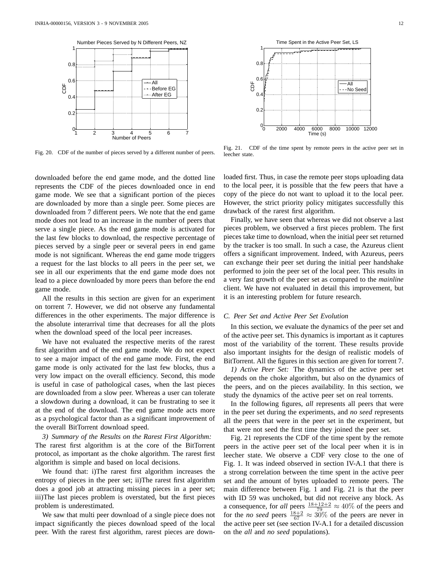![](_page_12_Figure_1.jpeg)

Fig. 20. CDF of the number of pieces served by a different number of peers.

downloaded before the end game mode, and the dotted line represents the CDF of the pieces downloaded once in end game mode. We see that a significant portion of the pieces are downloaded by more than a single peer. Some pieces are downloaded from 7 different peers. We note that the end game mode does not lead to an increase in the number of peers that serve a single piece. As the end game mode is activated for the last few blocks to download, the respective percentage of pieces served by a single peer or several peers in end game mode is not significant. Whereas the end game mode triggers a request for the last blocks to all peers in the peer set, we see in all our experiments that the end game mode does not lead to a piece downloaded by more peers than before the end game mode.

All the results in this section are given for an experiment on torrent 7. However, we did not observe any fundamental differences in the other experiments. The major difference is the absolute interarrival time that decreases for all the plots when the download speed of the local peer increases.

We have not evaluated the respective merits of the rarest first algorithm and of the end game mode. We do not expect to see a major impact of the end game mode. First, the end game mode is only activated for the last few blocks, thus a very low impact on the overall efficiency. Second, this mode is useful in case of pathological cases, when the last pieces are downloaded from a slow peer. Whereas a user can tolerate a slowdown during a download, it can be frustrating to see it at the end of the download. The end game mode acts more as a psychological factor than as a significant improvement of the overall BitTorrent download speed.

*3) Summary of the Results on the Rarest First Algorithm:* The rarest first algorithm is at the core of the BitTorrent protocol, as important as the choke algorithm. The rarest first algorithm is simple and based on local decisions.

We found that: i)The rarest first algorithm increases the entropy of pieces in the peer set; ii)The rarest first algorithm does a good job at attracting missing pieces in a peer set; iii)The last pieces problem is overstated, but the first pieces problem is underestimated.

We saw that multi peer download of a single piece does not impact significantly the pieces download speed of the local peer. With the rarest first algorithm, rarest pieces are downleecher state. loaded first. Thus, in case the remote peer stops uploading data to the local peer, it is possible that the few peers that have a copy of the piece do not want to upload it to the local peer. However, the strict priority policy mitigates successfully this

Fig. 21. CDF of the time spent by remote peers in the active peer set in

Finally, we have seen that whereas we did not observe a last pieces problem, we observed a first pieces problem. The first pieces take time to download, when the initial peer set returned by the tracker is too small. In such a case, the Azureus client offers a significant improvement. Indeed, with Azureus, peers can exchange their peer set during the initial peer handshake performed to join the peer set of the local peer. This results in a very fast growth of the peer set as compared to the *mainline* client. We have not evaluated in detail this improvement, but it is an interesting problem for future research.

#### *C. Peer Set and Active Peer Set Evolution*

drawback of the rarest first algorithm.

In this section, we evaluate the dynamics of the peer set and of the active peer set. This dynamics is important as it captures most of the variability of the torrent. These results provide also important insights for the design of realistic models of BitTorrent. All the figures in this section are given for torrent 7.

*1) Active Peer Set:* The dynamics of the active peer set depends on the choke algorithm, but also on the dynamics of the peers, and on the pieces availability. In this section, we study the dynamics of the active peer set on real torrents.

In the following figures, *all* represents all peers that were in the peer set during the experiments, and *no seed* represents all the peers that were in the peer set in the experiment, but that were not seed the first time they joined the peer set.

Fig. 21 represents the CDF of the time spent by the remote peers in the active peer set of the local peer when it is in leecher state. We observe a CDF very close to the one of Fig. 1. It was indeed observed in section IV-A.1 that there is a strong correlation between the time spent in the active peer set and the amount of bytes uploaded to remote peers. The main difference between Fig. 1 and Fig. 21 is that the peer with ID 59 was unchoked, but did not receive any block. As a consequence, for *all* peers  $\frac{18+12+2}{79} \approx 40\%$  of the peers and for the *no seed* peers  $\frac{18+2}{67} \approx 30\%$  of the peers are never in the active peer set (see section IV-A.1 for a detailed discussion on the *all* and *no seed* populations).

![](_page_12_Figure_16.jpeg)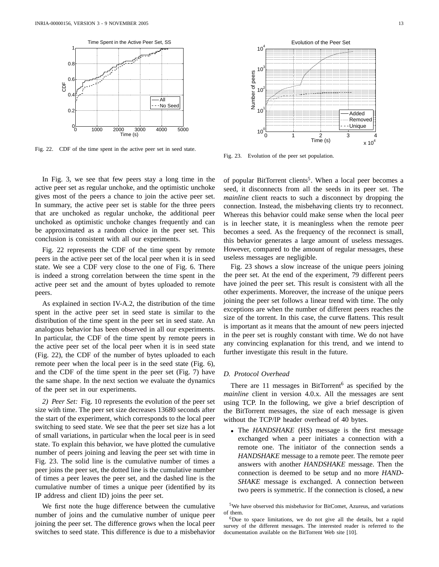![](_page_13_Figure_1.jpeg)

Fig. 22. CDF of the time spent in the active peer set in seed state.

In Fig. 3, we see that few peers stay a long time in the active peer set as regular unchoke, and the optimistic unchoke gives most of the peers a chance to join the active peer set. In summary, the active peer set is stable for the three peers that are unchoked as regular unchoke, the additional peer unchoked as optimistic unchoke changes frequently and can be approximated as a random choice in the peer set. This conclusion is consistent with all our experiments.

Fig. 22 represents the CDF of the time spent by remote peers in the active peer set of the local peer when it is in seed state. We see a CDF very close to the one of Fig. 6. There is indeed a strong correlation between the time spent in the active peer set and the amount of bytes uploaded to remote peers.

As explained in section IV-A.2, the distribution of the time spent in the active peer set in seed state is similar to the distribution of the time spent in the peer set in seed state. An analogous behavior has been observed in all our experiments. In particular, the CDF of the time spent by remote peers in the active peer set of the local peer when it is in seed state (Fig. 22), the CDF of the number of bytes uploaded to each remote peer when the local peer is in the seed state (Fig. 6), and the CDF of the time spent in the peer set (Fig. 7) have the same shape. In the next section we evaluate the dynamics of the peer set in our experiments.

*2) Peer Set:* Fig. 10 represents the evolution of the peer set size with time. The peer set size decreases 13680 seconds after the start of the experiment, which corresponds to the local peer switching to seed state. We see that the peer set size has a lot of small variations, in particular when the local peer is in seed state. To explain this behavior, we have plotted the cumulative number of peers joining and leaving the peer set with time in Fig. 23. The solid line is the cumulative number of times a peer joins the peer set, the dotted line is the cumulative number of times a peer leaves the peer set, and the dashed line is the cumulative number of times a unique peer (identified by its IP address and client ID) joins the peer set.

We first note the huge difference between the cumulative number of joins and the cumulative number of unique peer joining the peer set. The difference grows when the local peer switches to seed state. This difference is due to a misbehavior

![](_page_13_Figure_8.jpeg)

Fig. 23. Evolution of the peer set population.

of popular BitTorrent clients<sup>5</sup>. When a local peer becomes a seed, it disconnects from all the seeds in its peer set. The *mainline* client reacts to such a disconnect by dropping the connection. Instead, the misbehaving clients try to reconnect. Whereas this behavior could make sense when the local peer is in leecher state, it is meaningless when the remote peer becomes a seed. As the frequency of the reconnect is small, this behavior generates a large amount of useless messages. However, compared to the amount of regular messages, these useless messages are negligible.

Fig. 23 shows a slow increase of the unique peers joining the peer set. At the end of the experiment, 79 different peers have joined the peer set. This result is consistent with all the other experiments. Moreover, the increase of the unique peers joining the peer set follows a linear trend with time. The only exceptions are when the number of different peers reaches the size of the torrent. In this case, the curve flattens. This result is important as it means that the amount of new peers injected in the peer set is roughly constant with time. We do not have any convincing explanation for this trend, and we intend to further investigate this result in the future.

#### *D. Protocol Overhead*

There are  $11$  messages in BitTorrent<sup>6</sup> as specified by the *mainline* client in version 4.0.x. All the messages are sent using TCP. In the following, we give a brief description of the BitTorrent messages, the size of each message is given without the TCP/IP header overhead of 40 bytes.

• The *HANDSHAKE* (HS) message is the first message exchanged when a peer initiates a connection with a remote one. The initiator of the connection sends a *HANDSHAKE* message to a remote peer. The remote peer answers with another *HANDSHAKE* message. Then the connection is deemed to be setup and no more *HAND-SHAKE* message is exchanged. A connection between two peers is symmetric. If the connection is closed, a new

<sup>5</sup>We have observed this misbehavior for BitComet, Azureus, and variations of them.

<sup>&</sup>lt;sup>6</sup>Due to space limitations, we do not give all the details, but a rapid survey of the different messages. The interested reader is referred to the documentation available on the BitTorrent Web site [10].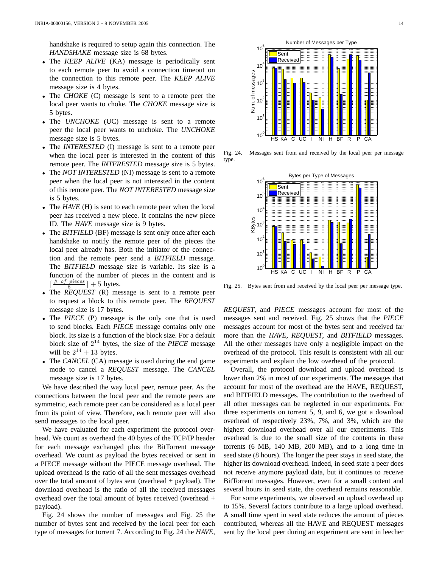handshake is required to setup again this connection. The *HANDSHAKE* message size is 68 bytes.

- The *KEEP ALIVE* (KA) message is periodically sent to each remote peer to avoid a connection timeout on the connection to this remote peer. The *KEEP ALIVE* message size is 4 bytes.
- The *CHOKE* (C) message is sent to a remote peer the local peer wants to choke. The *CHOKE* message size is 5 bytes.
- The *UNCHOKE* (UC) message is sent to a remote peer the local peer wants to unchoke. The *UNCHOKE* message size is 5 bytes.
- The *INTERESTED* (I) message is sent to a remote peer when the local peer is interested in the content of this remote peer. The *INTERESTED* message size is 5 bytes.
- The *NOT INTERESTED* (NI) message is sent to a remote peer when the local peer is not interested in the content of this remote peer. The *NOT INTERESTED* message size is 5 bytes.
- The *HAVE* (H) is sent to each remote peer when the local peer has received a new piece. It contains the new piece ID. The *HAVE* message size is 9 bytes.
- The *BITFIELD* (BF) message is sent only once after each handshake to notify the remote peer of the pieces the local peer already has. Both the initiator of the connection and the remote peer send a *BITFIELD* message. The *BITFIELD* message size is variable. Its size is a function of the number of pieces in the content and is  $\lceil \frac{\text{\# of pieces}}{8} \rceil + 5 \text{ bytes.}$
- The *REQUEST* (R) message is sent to a remote peer to request a block to this remote peer. The *REQUEST* message size is 17 bytes.
- The *PIECE* (P) message is the only one that is used to send blocks. Each *PIECE* message contains only one block. Its size is a function of the block size. For a default block size of 2 <sup>14</sup> bytes, the size of the *PIECE* message will be  $2^{14} + 13$  bytes.
- The *CANCEL* (CA) message is used during the end game mode to cancel a *REQUEST* message. The *CANCEL* message size is 17 bytes.

We have described the way local peer, remote peer. As the connections between the local peer and the remote peers are symmetric, each remote peer can be considered as a local peer from its point of view. Therefore, each remote peer will also send messages to the local peer.

We have evaluated for each experiment the protocol overhead. We count as overhead the 40 bytes of the TCP/IP header for each message exchanged plus the BitTorrent message overhead. We count as payload the bytes received or sent in a PIECE message without the PIECE message overhead. The upload overhead is the ratio of all the sent messages overhead over the total amount of bytes sent (overhead + payload). The download overhead is the ratio of all the received messages overhead over the total amount of bytes received (overhead + payload).

Fig. 24 shows the number of messages and Fig. 25 the number of bytes sent and received by the local peer for each type of messages for torrent 7. According to Fig. 24 the *HAVE*,

![](_page_14_Figure_15.jpeg)

Fig. 24. Messages sent from and received by the local peer per message type.

![](_page_14_Figure_17.jpeg)

Fig. 25. Bytes sent from and received by the local peer per message type.

*REQUEST*, and *PIECE* messages account for most of the messages sent and received. Fig. 25 shows that the *PIECE* messages account for most of the bytes sent and received far more than the *HAVE*, *REQUEST*, and *BITFIELD* messages. All the other messages have only a negligible impact on the overhead of the protocol. This result is consistent with all our experiments and explain the low overhead of the protocol.

Overall, the protocol download and upload overhead is lower than 2% in most of our experiments. The messages that account for most of the overhead are the HAVE, REQUEST, and BITFIELD messages. The contribution to the overhead of all other messages can be neglected in our experiments. For three experiments on torrent 5, 9, and 6, we got a download overhead of respectively 23%, 7%, and 3%, which are the highest download overhead over all our experiments. This overhead is due to the small size of the contents in these torrents (6 MB, 140 MB, 200 MB), and to a long time in seed state (8 hours). The longer the peer stays in seed state, the higher its download overhead. Indeed, in seed state a peer does not receive anymore payload data, but it continues to receive BitTorrent messages. However, even for a small content and several hours in seed state, the overhead remains reasonable.

For some experiments, we observed an upload overhead up to 15%. Several factors contribute to a large upload overhead. A small time spent in seed state reduces the amount of pieces contributed, whereas all the HAVE and REQUEST messages sent by the local peer during an experiment are sent in leecher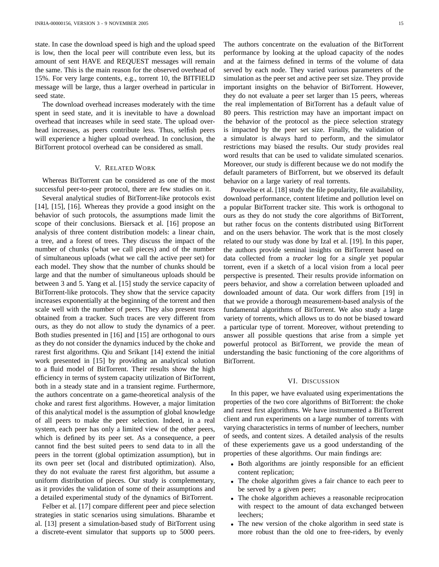state. In case the download speed is high and the upload speed is low, then the local peer will contribute even less, but its amount of sent HAVE and REQUEST messages will remain the same. This is the main reason for the observed overhead of 15%. For very large contents, e.g., torrent 10, the BITFIELD message will be large, thus a larger overhead in particular in seed state.

The download overhead increases moderately with the time spent in seed state, and it is inevitable to have a download overhead that increases while in seed state. The upload overhead increases, as peers contribute less. Thus, selfish peers will experience a higher upload overhead. In conclusion, the BitTorrent protocol overhead can be considered as small.

#### V. RELATED WORK

Whereas BitTorrent can be considered as one of the most successful peer-to-peer protocol, there are few studies on it.

Several analytical studies of BitTorrent-like protocols exist [14], [15], [16]. Whereas they provide a good insight on the behavior of such protocols, the assumptions made limit the scope of their conclusions. Biersack et al. [16] propose an analysis of three content distribution models: a linear chain, a tree, and a forest of trees. They discuss the impact of the number of chunks (what we call pieces) and of the number of simultaneous uploads (what we call the active peer set) for each model. They show that the number of chunks should be large and that the number of simultaneous uploads should be between 3 and 5. Yang et al. [15] study the service capacity of BitTorrent-like protocols. They show that the service capacity increases exponentially at the beginning of the torrent and then scale well with the number of peers. They also present traces obtained from a tracker. Such traces are very different from ours, as they do not allow to study the dynamics of a peer. Both studies presented in [16] and [15] are orthogonal to ours as they do not consider the dynamics induced by the choke and rarest first algorithms. Qiu and Srikant [14] extend the initial work presented in [15] by providing an analytical solution to a fluid model of BitTorrent. Their results show the high efficiency in terms of system capacity utilization of BitTorrent, both in a steady state and in a transient regime. Furthermore, the authors concentrate on a game-theoretical analysis of the choke and rarest first algorithms. However, a major limitation of this analytical model is the assumption of global knowledge of all peers to make the peer selection. Indeed, in a real system, each peer has only a limited view of the other peers, which is defined by its peer set. As a consequence, a peer cannot find the best suited peers to send data to in all the peers in the torrent (global optimization assumption), but in its own peer set (local and distributed optimization). Also, they do not evaluate the rarest first algorithm, but assume a uniform distribution of pieces. Our study is complementary, as it provides the validation of some of their assumptions and a detailed experimental study of the dynamics of BitTorrent.

Felber et al. [17] compare different peer and piece selection strategies in static scenarios using simulations. Bharambe et al. [13] present a simulation-based study of BitTorrent using a discrete-event simulator that supports up to 5000 peers. The authors concentrate on the evaluation of the BitTorrent performance by looking at the upload capacity of the nodes and at the fairness defined in terms of the volume of data served by each node. They varied various parameters of the simulation as the peer set and active peer set size. They provide important insights on the behavior of BitTorrent. However, they do not evaluate a peer set larger than 15 peers, whereas the real implementation of BitTorrent has a default value of 80 peers. This restriction may have an important impact on the behavior of the protocol as the piece selection strategy is impacted by the peer set size. Finally, the validation of a simulator is always hard to perform, and the simulator restrictions may biased the results. Our study provides real word results that can be used to validate simulated scenarios. Moreover, our study is different because we do not modify the default parameters of BitTorrent, but we observed its default behavior on a large variety of real torrents.

Pouwelse et al. [18] study the file popularity, file availability, download performance, content lifetime and pollution level on a popular BitTorrent tracker site. This work is orthogonal to ours as they do not study the core algorithms of BitTorrent, but rather focus on the contents distributed using BitTorrent and on the users behavior. The work that is the most closely related to our study was done by Izal et al. [19]. In this paper, the authors provide seminal insights on BitTorrent based on data collected from a *tracker* log for a *single* yet popular torrent, even if a sketch of a local vision from a local peer perspective is presented. Their results provide information on peers behavior, and show a correlation between uploaded and downloaded amount of data. Our work differs from [19] in that we provide a thorough measurement-based analysis of the fundamental algorithms of BitTorrent. We also study a large variety of torrents, which allows us to do not be biased toward a particular type of torrent. Moreover, without pretending to answer all possible questions that arise from a simple yet powerful protocol as BitTorrent, we provide the mean of understanding the basic functioning of the core algorithms of BitTorrent.

#### VI. DISCUSSION

In this paper, we have evaluated using experimentations the properties of the two core algorithms of BitTorrent: the choke and rarest first algorithms. We have instrumented a BitTorrent client and run experiments on a large number of torrents with varying characteristics in terms of number of leechers, number of seeds, and content sizes. A detailed analysis of the results of these experiements gave us a good understanding of the properties of these algorithms. Our main findings are:

- Both algorithms are jointly responsible for an efficient content replication;
- The choke algorithm gives a fair chance to each peer to be served by a given peer;
- The choke algorithm achieves a reasonable reciprocation with respect to the amount of data exchanged between leechers;
- The new version of the choke algorithm in seed state is more robust than the old one to free-riders, by evenly